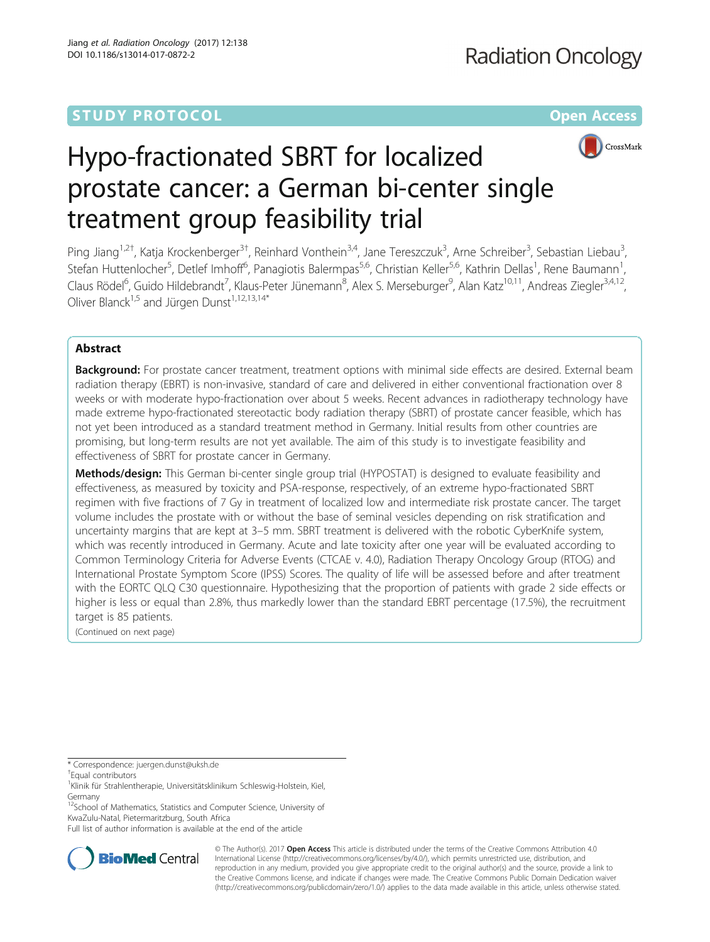# **STUDY PROTOCOL CONSUMING THE RESERVE ACCESS**



# Hypo-fractionated SBRT for localized prostate cancer: a German bi-center single treatment group feasibility trial

Ping Jiang<sup>1,2†</sup>, Katja Krockenberger<sup>3†</sup>, Reinhard Vonthein<sup>3,4</sup>, Jane Tereszczuk<sup>3</sup>, Arne Schreiber<sup>3</sup>, Sebastian Liebau<sup>3</sup> , Stefan Huttenlocher<sup>5</sup>, Detlef Imhoff<sup>6</sup>, Panagiotis Balermpas<sup>5,6</sup>, Christian Keller<sup>5,6</sup>, Kathrin Dellas<sup>1</sup>, Rene Baumann<sup>1</sup> , Claus Rödel<sup>6</sup>, Guido Hildebrandt<sup>7</sup>, Klaus-Peter Jünemann<sup>8</sup>, Alex S. Merseburger<sup>9</sup>, Alan Katz<sup>10,11</sup>, Andreas Ziegler<sup>3,4,12</sup>, Oliver Blanck<sup>1,5</sup> and Jürgen Dunst<sup>1,12,13,14\*</sup>

# Abstract

Background: For prostate cancer treatment, treatment options with minimal side effects are desired. External beam radiation therapy (EBRT) is non-invasive, standard of care and delivered in either conventional fractionation over 8 weeks or with moderate hypo-fractionation over about 5 weeks. Recent advances in radiotherapy technology have made extreme hypo-fractionated stereotactic body radiation therapy (SBRT) of prostate cancer feasible, which has not yet been introduced as a standard treatment method in Germany. Initial results from other countries are promising, but long-term results are not yet available. The aim of this study is to investigate feasibility and effectiveness of SBRT for prostate cancer in Germany.

Methods/design: This German bi-center single group trial (HYPOSTAT) is designed to evaluate feasibility and effectiveness, as measured by toxicity and PSA-response, respectively, of an extreme hypo-fractionated SBRT regimen with five fractions of 7 Gy in treatment of localized low and intermediate risk prostate cancer. The target volume includes the prostate with or without the base of seminal vesicles depending on risk stratification and uncertainty margins that are kept at 3–5 mm. SBRT treatment is delivered with the robotic CyberKnife system, which was recently introduced in Germany. Acute and late toxicity after one year will be evaluated according to Common Terminology Criteria for Adverse Events (CTCAE v. 4.0), Radiation Therapy Oncology Group (RTOG) and International Prostate Symptom Score (IPSS) Scores. The quality of life will be assessed before and after treatment with the EORTC QLQ C30 questionnaire. Hypothesizing that the proportion of patients with grade 2 side effects or higher is less or equal than 2.8%, thus markedly lower than the standard EBRT percentage (17.5%), the recruitment target is 85 patients.

(Continued on next page)

\* Correspondence: [juergen.dunst@uksh.de](mailto:juergen.dunst@uksh.de) †

Equal contributors

<sup>12</sup>School of Mathematics, Statistics and Computer Science, University of KwaZulu-Natal, Pietermaritzburg, South Africa

Full list of author information is available at the end of the article



© The Author(s). 2017 **Open Access** This article is distributed under the terms of the Creative Commons Attribution 4.0 International License [\(http://creativecommons.org/licenses/by/4.0/](http://creativecommons.org/licenses/by/4.0/)), which permits unrestricted use, distribution, and reproduction in any medium, provided you give appropriate credit to the original author(s) and the source, provide a link to the Creative Commons license, and indicate if changes were made. The Creative Commons Public Domain Dedication waiver [\(http://creativecommons.org/publicdomain/zero/1.0/](http://creativecommons.org/publicdomain/zero/1.0/)) applies to the data made available in this article, unless otherwise stated.

<sup>&</sup>lt;sup>1</sup> Klinik für Strahlentherapie, Universitätsklinikum Schleswig-Holstein, Kiel, Germany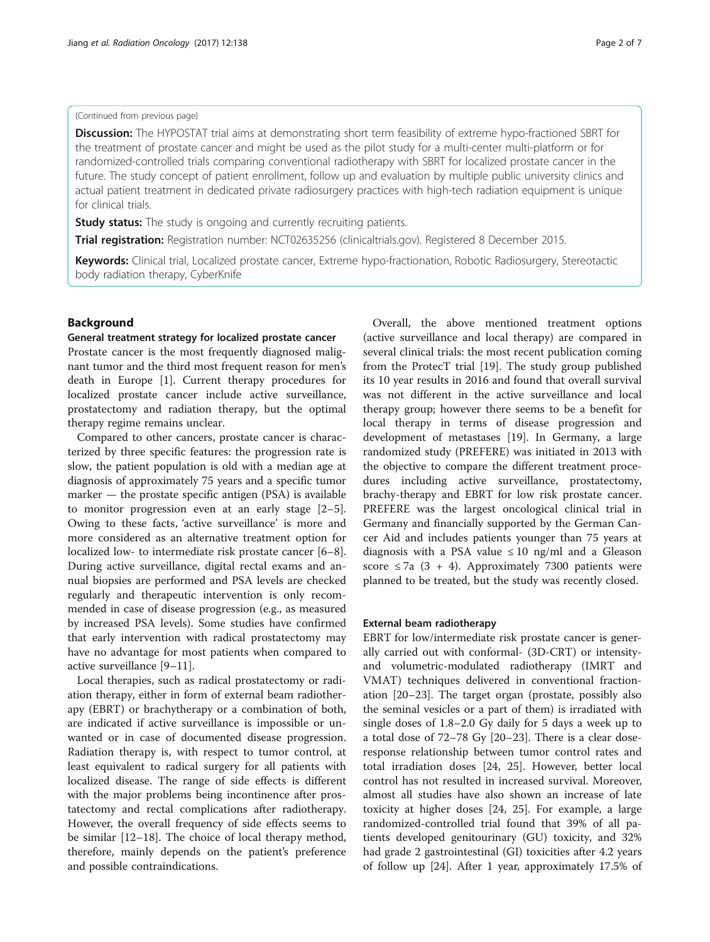## (Continued from previous page)

Discussion: The HYPOSTAT trial aims at demonstrating short term feasibility of extreme hypo-fractioned SBRT for the treatment of prostate cancer and might be used as the pilot study for a multi-center multi-platform or for randomized-controlled trials comparing conventional radiotherapy with SBRT for localized prostate cancer in the future. The study concept of patient enrollment, follow up and evaluation by multiple public university clinics and actual patient treatment in dedicated private radiosurgery practices with high-tech radiation equipment is unique for clinical trials.

**Study status:** The study is ongoing and currently recruiting patients.

Trial registration: Registration number: [NCT02635256](https://clinicaltrials.gov/ct2/show/NCT02635256) ([clinicaltrials.gov\)](http://clinicaltrials.gov). Registered 8 December 2015.

Keywords: Clinical trial, Localized prostate cancer, Extreme hypo-fractionation, Robotic Radiosurgery, Stereotactic body radiation therapy, CyberKnife

## Background

#### General treatment strategy for localized prostate cancer

Prostate cancer is the most frequently diagnosed malignant tumor and the third most frequent reason for men's death in Europe [\[1](#page-5-0)]. Current therapy procedures for localized prostate cancer include active surveillance, prostatectomy and radiation therapy, but the optimal therapy regime remains unclear.

Compared to other cancers, prostate cancer is characterized by three specific features: the progression rate is slow, the patient population is old with a median age at diagnosis of approximately 75 years and a specific tumor marker  $-$  the prostate specific antigen (PSA) is available to monitor progression even at an early stage [\[2](#page-5-0)–[5](#page-5-0)]. Owing to these facts, 'active surveillance' is more and more considered as an alternative treatment option for localized low- to intermediate risk prostate cancer [\[6](#page-5-0)–[8](#page-5-0)]. During active surveillance, digital rectal exams and annual biopsies are performed and PSA levels are checked regularly and therapeutic intervention is only recommended in case of disease progression (e.g., as measured by increased PSA levels). Some studies have confirmed that early intervention with radical prostatectomy may have no advantage for most patients when compared to active surveillance [\[9](#page-5-0)–[11](#page-5-0)].

Local therapies, such as radical prostatectomy or radiation therapy, either in form of external beam radiotherapy (EBRT) or brachytherapy or a combination of both, are indicated if active surveillance is impossible or unwanted or in case of documented disease progression. Radiation therapy is, with respect to tumor control, at least equivalent to radical surgery for all patients with localized disease. The range of side effects is different with the major problems being incontinence after prostatectomy and rectal complications after radiotherapy. However, the overall frequency of side effects seems to be similar [\[12](#page-5-0)–[18\]](#page-5-0). The choice of local therapy method, therefore, mainly depends on the patient's preference and possible contraindications.

Overall, the above mentioned treatment options (active surveillance and local therapy) are compared in several clinical trials: the most recent publication coming from the ProtecT trial [[19\]](#page-5-0). The study group published its 10 year results in 2016 and found that overall survival was not different in the active surveillance and local therapy group; however there seems to be a benefit for local therapy in terms of disease progression and development of metastases [[19\]](#page-5-0). In Germany, a large randomized study (PREFERE) was initiated in 2013 with the objective to compare the different treatment procedures including active surveillance, prostatectomy, brachy-therapy and EBRT for low risk prostate cancer. PREFERE was the largest oncological clinical trial in Germany and financially supported by the German Cancer Aid and includes patients younger than 75 years at diagnosis with a PSA value  $\leq 10$  ng/ml and a Gleason score  $\leq 7a(3 + 4)$ . Approximately 7300 patients were planned to be treated, but the study was recently closed.

#### External beam radiotherapy

EBRT for low/intermediate risk prostate cancer is generally carried out with conformal- (3D-CRT) or intensityand volumetric-modulated radiotherapy (IMRT and VMAT) techniques delivered in conventional fractionation [[20](#page-5-0)–[23](#page-5-0)]. The target organ (prostate, possibly also the seminal vesicles or a part of them) is irradiated with single doses of 1.8–2.0 Gy daily for 5 days a week up to a total dose of 72–78 Gy [\[20](#page-5-0)–[23](#page-5-0)]. There is a clear doseresponse relationship between tumor control rates and total irradiation doses [\[24, 25\]](#page-5-0). However, better local control has not resulted in increased survival. Moreover, almost all studies have also shown an increase of late toxicity at higher doses [\[24](#page-5-0), [25\]](#page-5-0). For example, a large randomized-controlled trial found that 39% of all patients developed genitourinary (GU) toxicity, and 32% had grade 2 gastrointestinal (GI) toxicities after 4.2 years of follow up [\[24\]](#page-5-0). After 1 year, approximately 17.5% of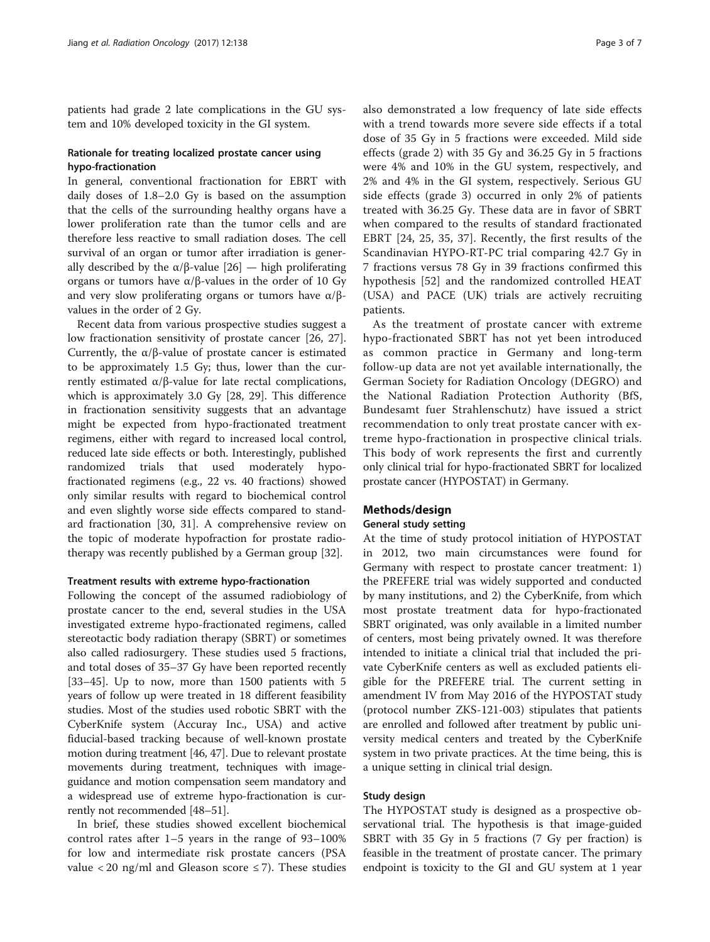patients had grade 2 late complications in the GU system and 10% developed toxicity in the GI system.

## Rationale for treating localized prostate cancer using hypo-fractionation

In general, conventional fractionation for EBRT with daily doses of 1.8–2.0 Gy is based on the assumption that the cells of the surrounding healthy organs have a lower proliferation rate than the tumor cells and are therefore less reactive to small radiation doses. The cell survival of an organ or tumor after irradiation is generally described by the  $\alpha/\beta$ -value [\[26](#page-5-0)] — high proliferating organs or tumors have α/β-values in the order of 10 Gy and very slow proliferating organs or tumors have  $\alpha/\beta$ values in the order of 2 Gy.

Recent data from various prospective studies suggest a low fractionation sensitivity of prostate cancer [\[26](#page-5-0), [27](#page-5-0)]. Currently, the  $\alpha/\beta$ -value of prostate cancer is estimated to be approximately 1.5 Gy; thus, lower than the currently estimated α/β-value for late rectal complications, which is approximately 3.0 Gy [[28, 29\]](#page-5-0). This difference in fractionation sensitivity suggests that an advantage might be expected from hypo-fractionated treatment regimens, either with regard to increased local control, reduced late side effects or both. Interestingly, published randomized trials that used moderately hypofractionated regimens (e.g., 22 vs. 40 fractions) showed only similar results with regard to biochemical control and even slightly worse side effects compared to standard fractionation [[30, 31](#page-5-0)]. A comprehensive review on the topic of moderate hypofraction for prostate radiotherapy was recently published by a German group [\[32](#page-6-0)].

#### Treatment results with extreme hypo-fractionation

Following the concept of the assumed radiobiology of prostate cancer to the end, several studies in the USA investigated extreme hypo-fractionated regimens, called stereotactic body radiation therapy (SBRT) or sometimes also called radiosurgery. These studies used 5 fractions, and total doses of 35–37 Gy have been reported recently [[33](#page-6-0)–[45](#page-6-0)]. Up to now, more than 1500 patients with 5 years of follow up were treated in 18 different feasibility studies. Most of the studies used robotic SBRT with the CyberKnife system (Accuray Inc., USA) and active fiducial-based tracking because of well-known prostate motion during treatment [\[46, 47](#page-6-0)]. Due to relevant prostate movements during treatment, techniques with imageguidance and motion compensation seem mandatory and a widespread use of extreme hypo-fractionation is currently not recommended [\[48](#page-6-0)–[51](#page-6-0)].

In brief, these studies showed excellent biochemical control rates after 1–5 years in the range of 93–100% for low and intermediate risk prostate cancers (PSA value  $\langle 20 \text{ ng/ml} \rangle$  and Gleason score  $\leq$  7). These studies also demonstrated a low frequency of late side effects with a trend towards more severe side effects if a total dose of 35 Gy in 5 fractions were exceeded. Mild side effects (grade 2) with 35 Gy and 36.25 Gy in 5 fractions were 4% and 10% in the GU system, respectively, and 2% and 4% in the GI system, respectively. Serious GU side effects (grade 3) occurred in only 2% of patients treated with 36.25 Gy. These data are in favor of SBRT when compared to the results of standard fractionated EBRT [[24, 25,](#page-5-0) [35, 37](#page-6-0)]. Recently, the first results of the Scandinavian HYPO-RT-PC trial comparing 42.7 Gy in 7 fractions versus 78 Gy in 39 fractions confirmed this hypothesis [\[52](#page-6-0)] and the randomized controlled HEAT (USA) and PACE (UK) trials are actively recruiting patients.

As the treatment of prostate cancer with extreme hypo-fractionated SBRT has not yet been introduced as common practice in Germany and long-term follow-up data are not yet available internationally, the German Society for Radiation Oncology (DEGRO) and the National Radiation Protection Authority (BfS, Bundesamt fuer Strahlenschutz) have issued a strict recommendation to only treat prostate cancer with extreme hypo-fractionation in prospective clinical trials. This body of work represents the first and currently only clinical trial for hypo-fractionated SBRT for localized prostate cancer (HYPOSTAT) in Germany.

#### Methods/design

#### General study setting

At the time of study protocol initiation of HYPOSTAT in 2012, two main circumstances were found for Germany with respect to prostate cancer treatment: 1) the PREFERE trial was widely supported and conducted by many institutions, and 2) the CyberKnife, from which most prostate treatment data for hypo-fractionated SBRT originated, was only available in a limited number of centers, most being privately owned. It was therefore intended to initiate a clinical trial that included the private CyberKnife centers as well as excluded patients eligible for the PREFERE trial. The current setting in amendment IV from May 2016 of the HYPOSTAT study (protocol number ZKS-121-003) stipulates that patients are enrolled and followed after treatment by public university medical centers and treated by the CyberKnife system in two private practices. At the time being, this is a unique setting in clinical trial design.

## Study design

The HYPOSTAT study is designed as a prospective observational trial. The hypothesis is that image-guided SBRT with 35 Gy in 5 fractions (7 Gy per fraction) is feasible in the treatment of prostate cancer. The primary endpoint is toxicity to the GI and GU system at 1 year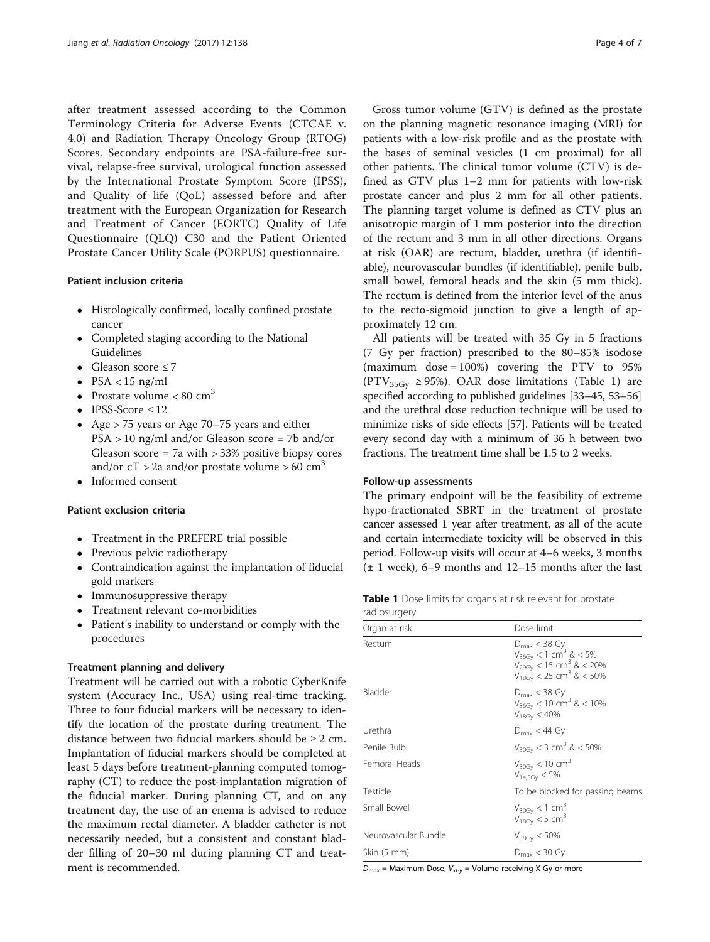after treatment assessed according to the Common Terminology Criteria for Adverse Events (CTCAE v. 4.0) and Radiation Therapy Oncology Group (RTOG) Scores. Secondary endpoints are PSA-failure-free survival, relapse-free survival, urological function assessed by the International Prostate Symptom Score (IPSS), and Quality of life (QoL) assessed before and after treatment with the European Organization for Research and Treatment of Cancer (EORTC) Quality of Life Questionnaire (QLQ) C30 and the Patient Oriented Prostate Cancer Utility Scale (PORPUS) questionnaire.

## Patient inclusion criteria

- Histologically confirmed, locally confined prostate cancer
- Completed staging according to the National Guidelines
- Gleason score ≤ 7
- $\bullet$  PSA < 15 ng/ml
- Prostate volume  $< 80 \text{ cm}^3$
- $\bullet$  IPSS-Score  $\leq 12$
- Age > 75 years or Age 70–75 years and either PSA > 10 ng/ml and/or Gleason score = 7b and/or Gleason score =  $7a$  with  $> 33\%$  positive biopsy cores and/or  $cT > 2a$  and/or prostate volume  $> 60 \text{ cm}^3$
- Informed consent

## Patient exclusion criteria

- Treatment in the PREFERE trial possible
- Previous pelvic radiotherapy
- Contraindication against the implantation of fiducial gold markers
- Immunosuppressive therapy
- Treatment relevant co-morbidities
- Patient's inability to understand or comply with the procedures

#### Treatment planning and delivery

Treatment will be carried out with a robotic CyberKnife system (Accuracy Inc., USA) using real-time tracking. Three to four fiducial markers will be necessary to identify the location of the prostate during treatment. The distance between two fiducial markers should be  $\geq 2$  cm. Implantation of fiducial markers should be completed at least 5 days before treatment-planning computed tomography (CT) to reduce the post-implantation migration of the fiducial marker. During planning CT, and on any treatment day, the use of an enema is advised to reduce the maximum rectal diameter. A bladder catheter is not necessarily needed, but a consistent and constant bladder filling of 20–30 ml during planning CT and treatment is recommended.

Gross tumor volume (GTV) is defined as the prostate on the planning magnetic resonance imaging (MRI) for patients with a low-risk profile and as the prostate with the bases of seminal vesicles (1 cm proximal) for all other patients. The clinical tumor volume (CTV) is defined as GTV plus 1–2 mm for patients with low-risk prostate cancer and plus 2 mm for all other patients. The planning target volume is defined as CTV plus an anisotropic margin of 1 mm posterior into the direction of the rectum and 3 mm in all other directions. Organs at risk (OAR) are rectum, bladder, urethra (if identifiable), neurovascular bundles (if identifiable), penile bulb, small bowel, femoral heads and the skin (5 mm thick). The rectum is defined from the inferior level of the anus to the recto-sigmoid junction to give a length of approximately 12 cm.

All patients will be treated with 35 Gy in 5 fractions (7 Gy per fraction) prescribed to the 80–85% isodose (maximum dose =  $100\%$ ) covering the PTV to 95% (PTV<sub>35Gy</sub>  $\geq$  95%). OAR dose limitations (Table 1) are specified according to published guidelines [[33](#page-6-0)–[45, 53](#page-6-0)–[56](#page-6-0)] and the urethral dose reduction technique will be used to minimize risks of side effects [\[57\]](#page-6-0). Patients will be treated every second day with a minimum of 36 h between two fractions. The treatment time shall be 1.5 to 2 weeks.

## Follow-up assessments

The primary endpoint will be the feasibility of extreme hypo-fractionated SBRT in the treatment of prostate cancer assessed 1 year after treatment, as all of the acute and certain intermediate toxicity will be observed in this period. Follow-up visits will occur at 4–6 weeks, 3 months (± 1 week), 6–9 months and 12–15 months after the last

|              |  |  |  | <b>Table 1</b> Dose limits for organs at risk relevant for prostate |  |
|--------------|--|--|--|---------------------------------------------------------------------|--|
| radiosurgery |  |  |  |                                                                     |  |

| Organ at risk        | Dose limit                                                                                                                                                          |  |  |
|----------------------|---------------------------------------------------------------------------------------------------------------------------------------------------------------------|--|--|
| Rectum               | $D_{\text{max}}$ < 38 Gy<br>$V_{36Gv}$ < 1 cm <sup>3</sup> & < 5%<br>$V_{29Gy}$ < 15 cm <sup>3</sup> & < 20%<br>$V_{18\text{Gv}} < 25 \text{ cm}^3 \text{ < } 50\%$ |  |  |
| Bladder              | $D_{\text{max}} < 38$ Gy<br>$V_{36Gv}$ < 10 cm <sup>3</sup> & < 10%<br>$V_{18Gv}$ < 40%                                                                             |  |  |
| Urethra              | $D_{\text{max}} < 44$ Gy                                                                                                                                            |  |  |
| Penile Bulb          | $V_{30\text{Gy}} < 3 \text{ cm}^3 \text{ < } 50\%$                                                                                                                  |  |  |
| Femoral Heads        | $V_{30\text{Gv}} < 10 \text{ cm}^3$<br>$V_{14.5GV}$ < 5%                                                                                                            |  |  |
| Testicle             | To be blocked for passing beams                                                                                                                                     |  |  |
| Small Bowel          | $V_{30\text{Gy}} < 1 \text{ cm}^3$<br>$V_{18Gy}$ < 5 cm <sup>3</sup>                                                                                                |  |  |
| Neurovascular Bundle | $V_{38GV}$ < 50%                                                                                                                                                    |  |  |
| Skin (5 mm)          | $D_{\text{max}}$ < 30 Gy                                                                                                                                            |  |  |

 $D_{max}$  = Maximum Dose,  $V_{xGy}$  = Volume receiving X Gy or more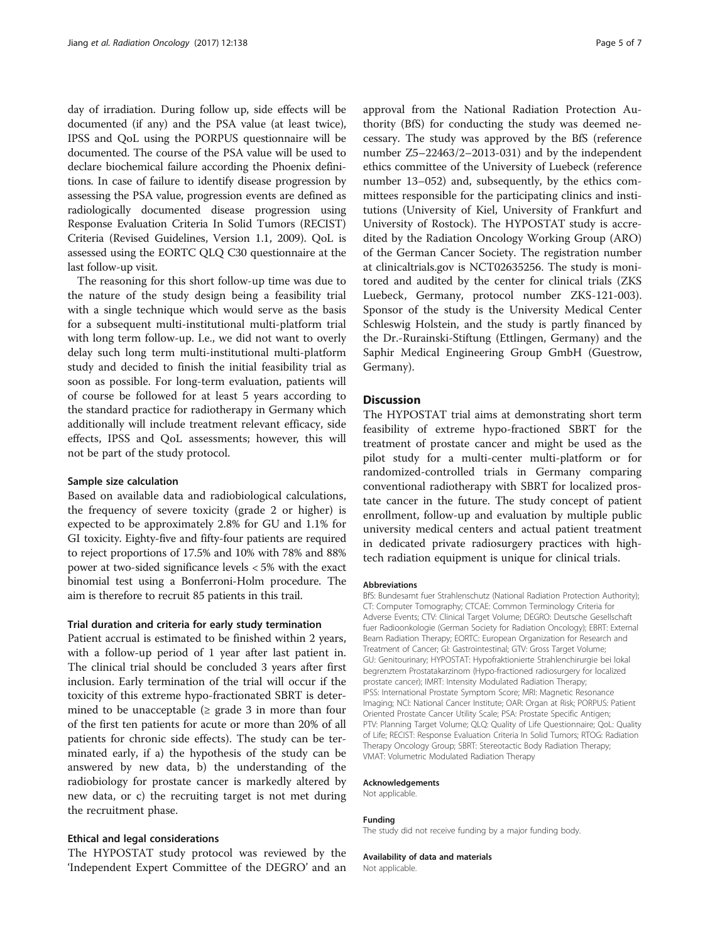day of irradiation. During follow up, side effects will be documented (if any) and the PSA value (at least twice), IPSS and QoL using the PORPUS questionnaire will be documented. The course of the PSA value will be used to declare biochemical failure according the Phoenix definitions. In case of failure to identify disease progression by assessing the PSA value, progression events are defined as radiologically documented disease progression using Response Evaluation Criteria In Solid Tumors (RECIST) Criteria (Revised Guidelines, Version 1.1, 2009). QoL is assessed using the EORTC QLQ C30 questionnaire at the last follow-up visit.

The reasoning for this short follow-up time was due to the nature of the study design being a feasibility trial with a single technique which would serve as the basis for a subsequent multi-institutional multi-platform trial with long term follow-up. I.e., we did not want to overly delay such long term multi-institutional multi-platform study and decided to finish the initial feasibility trial as soon as possible. For long-term evaluation, patients will of course be followed for at least 5 years according to the standard practice for radiotherapy in Germany which additionally will include treatment relevant efficacy, side effects, IPSS and QoL assessments; however, this will not be part of the study protocol.

## Sample size calculation

Based on available data and radiobiological calculations, the frequency of severe toxicity (grade 2 or higher) is expected to be approximately 2.8% for GU and 1.1% for GI toxicity. Eighty-five and fifty-four patients are required to reject proportions of 17.5% and 10% with 78% and 88% power at two-sided significance levels < 5% with the exact binomial test using a Bonferroni-Holm procedure. The aim is therefore to recruit 85 patients in this trail.

#### Trial duration and criteria for early study termination

Patient accrual is estimated to be finished within 2 years, with a follow-up period of 1 year after last patient in. The clinical trial should be concluded 3 years after first inclusion. Early termination of the trial will occur if the toxicity of this extreme hypo-fractionated SBRT is determined to be unacceptable ( $\geq$  grade 3 in more than four of the first ten patients for acute or more than 20% of all patients for chronic side effects). The study can be terminated early, if a) the hypothesis of the study can be answered by new data, b) the understanding of the radiobiology for prostate cancer is markedly altered by new data, or c) the recruiting target is not met during the recruitment phase.

## Ethical and legal considerations

The HYPOSTAT study protocol was reviewed by the 'Independent Expert Committee of the DEGRO' and an

approval from the National Radiation Protection Authority (BfS) for conducting the study was deemed necessary. The study was approved by the BfS (reference number Z5–22463/2–2013-031) and by the independent ethics committee of the University of Luebeck (reference number 13–052) and, subsequently, by the ethics committees responsible for the participating clinics and institutions (University of Kiel, University of Frankfurt and University of Rostock). The HYPOSTAT study is accredited by the Radiation Oncology Working Group (ARO) of the German Cancer Society. The registration number at [clinicaltrials.gov](http://clinicaltrials.gov) is NCT02635256. The study is monitored and audited by the center for clinical trials (ZKS Luebeck, Germany, protocol number ZKS-121-003). Sponsor of the study is the University Medical Center Schleswig Holstein, and the study is partly financed by the Dr.-Rurainski-Stiftung (Ettlingen, Germany) and the Saphir Medical Engineering Group GmbH (Guestrow, Germany).

## **Discussion**

The HYPOSTAT trial aims at demonstrating short term feasibility of extreme hypo-fractioned SBRT for the treatment of prostate cancer and might be used as the pilot study for a multi-center multi-platform or for randomized-controlled trials in Germany comparing conventional radiotherapy with SBRT for localized prostate cancer in the future. The study concept of patient enrollment, follow-up and evaluation by multiple public university medical centers and actual patient treatment in dedicated private radiosurgery practices with hightech radiation equipment is unique for clinical trials.

#### Abbreviations

BfS: Bundesamt fuer Strahlenschutz (National Radiation Protection Authority); CT: Computer Tomography; CTCAE: Common Terminology Criteria for Adverse Events; CTV: Clinical Target Volume; DEGRO: Deutsche Gesellschaft fuer Radioonkologie (German Society for Radiation Oncology); EBRT: External Beam Radiation Therapy; EORTC: European Organization for Research and Treatment of Cancer; GI: Gastrointestinal; GTV: Gross Target Volume; GU: Genitourinary; HYPOSTAT: Hypofraktionierte Strahlenchirurgie bei lokal begrenztem Prostatakarzinom (Hypo-fractioned radiosurgery for localized prostate cancer); IMRT: Intensity Modulated Radiation Therapy; IPSS: International Prostate Symptom Score; MRI: Magnetic Resonance Imaging; NCI: National Cancer Institute; OAR: Organ at Risk; PORPUS: Patient Oriented Prostate Cancer Utility Scale; PSA: Prostate Specific Antigen; PTV: Planning Target Volume; QLQ: Quality of Life Questionnaire; QoL: Quality of Life; RECIST: Response Evaluation Criteria In Solid Tumors; RTOG: Radiation Therapy Oncology Group; SBRT: Stereotactic Body Radiation Therapy; VMAT: Volumetric Modulated Radiation Therapy

#### Acknowledgements

Not applicable.

#### Funding

The study did not receive funding by a major funding body.

#### Availability of data and materials

Not applicable.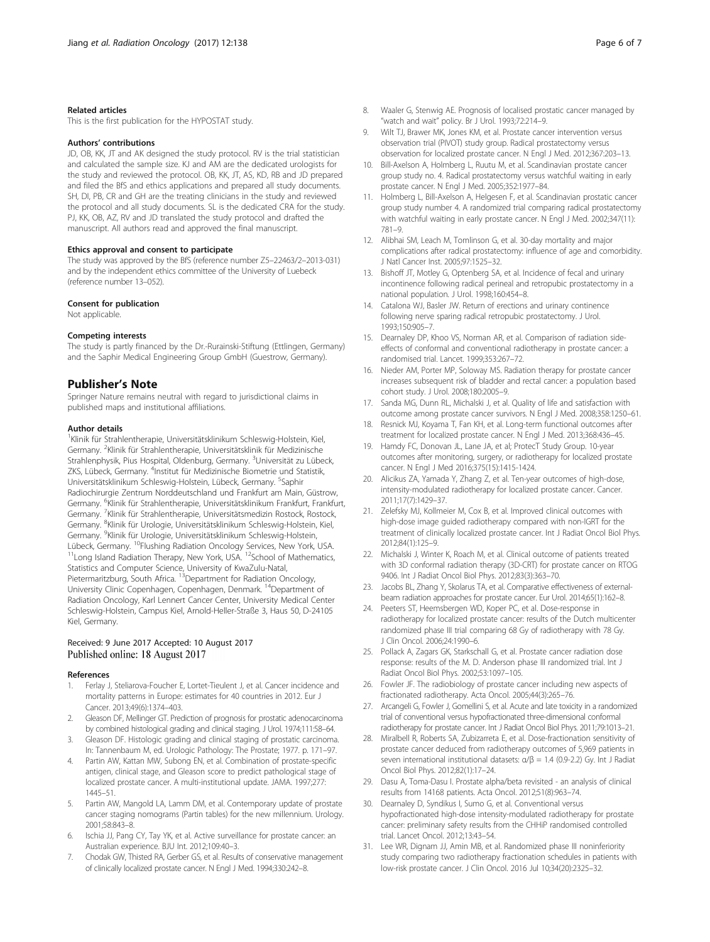#### <span id="page-5-0"></span>Related articles

This is the first publication for the HYPOSTAT study.

#### Authors' contributions

JD, OB, KK, JT and AK designed the study protocol. RV is the trial statistician and calculated the sample size. KJ and AM are the dedicated urologists for the study and reviewed the protocol. OB, KK, JT, AS, KD, RB and JD prepared and filed the BfS and ethics applications and prepared all study documents. SH, DI, PB, CR and GH are the treating clinicians in the study and reviewed the protocol and all study documents. SL is the dedicated CRA for the study. PJ, KK, OB, AZ, RV and JD translated the study protocol and drafted the manuscript. All authors read and approved the final manuscript.

#### Ethics approval and consent to participate

The study was approved by the BfS (reference number Z5–22463/2–2013-031) and by the independent ethics committee of the University of Luebeck (reference number 13–052).

#### Consent for publication

Not applicable.

#### Competing interests

The study is partly financed by the Dr.-Rurainski-Stiftung (Ettlingen, Germany) and the Saphir Medical Engineering Group GmbH (Guestrow, Germany).

#### Publisher's Note

Springer Nature remains neutral with regard to jurisdictional claims in published maps and institutional affiliations.

#### Author details

<sup>1</sup> Klinik für Strahlentherapie, Universitätsklinikum Schleswig-Holstein, Kiel, Germany. <sup>2</sup>Klinik für Strahlentherapie, Universitätsklinik für Medizinische Strahlenphysik, Pius Hospital, Oldenburg, Germany. <sup>3</sup>Universität zu Lübeck, ZKS, Lübeck, Germany. <sup>4</sup>Institut für Medizinische Biometrie und Statistik, Universitätsklinikum Schleswig-Holstein, Lübeck, Germany. <sup>5</sup>Saphir Radiochirurgie Zentrum Norddeutschland und Frankfurt am Main, Güstrow, Germany. <sup>6</sup>Klinik für Strahlentherapie, Universitätsklinikum Frankfurt, Frankfurt, Germany. <sup>7</sup> Klinik für Strahlentherapie, Universitätsmedizin Rostock, Rostock, Germany. <sup>8</sup>Klinik für Urologie, Universitätsklinikum Schleswig-Holstein, Kiel, Germany. <sup>9</sup>Klinik für Urologie, Universitätsklinikum Schleswig-Holstein, Lübeck, Germany. <sup>10</sup>Flushing Radiation Oncology Services, New York, USA. <sup>11</sup>Long Island Radiation Therapy, New York, USA. <sup>12</sup>School of Mathematics, Statistics and Computer Science, University of KwaZulu-Natal, Pietermaritzburg, South Africa. <sup>13</sup>Department for Radiation Oncology, University Clinic Copenhagen, Copenhagen, Denmark. <sup>14</sup>Department of Radiation Oncology, Karl Lennert Cancer Center, University Medical Center Schleswig-Holstein, Campus Kiel, Arnold-Heller-Straße 3, Haus 50, D-24105 Kiel, Germany.

#### Received: 9 June 2017 Accepted: 10 August 2017 Published online: 18 August 2017

#### References

- 1. Ferlay J, Steliarova-Foucher E, Lortet-Tieulent J, et al. Cancer incidence and mortality patterns in Europe: estimates for 40 countries in 2012. Eur J Cancer. 2013;49(6):1374–403.
- 2. Gleason DF, Mellinger GT. Prediction of prognosis for prostatic adenocarcinoma by combined histological grading and clinical staging. J Urol. 1974;111:58–64.
- 3. Gleason DF. Histologic grading and clinical staging of prostatic carcinoma. In: Tannenbaum M, ed. Urologic Pathology: The Prostate; 1977. p. 171–97.
- 4. Partin AW, Kattan MW, Subong EN, et al. Combination of prostate-specific antigen, clinical stage, and Gleason score to predict pathological stage of localized prostate cancer. A multi-institutional update. JAMA. 1997;277: 1445–51.
- 5. Partin AW, Mangold LA, Lamm DM, et al. Contemporary update of prostate cancer staging nomograms (Partin tables) for the new millennium. Urology. 2001;58:843–8.
- 6. Ischia JJ, Pang CY, Tay YK, et al. Active surveillance for prostate cancer: an Australian experience. BJU Int. 2012;109:40–3.
- 7. Chodak GW, Thisted RA, Gerber GS, et al. Results of conservative management of clinically localized prostate cancer. N Engl J Med. 1994;330:242–8.
- 8. Waaler G, Stenwig AE. Prognosis of localised prostatic cancer managed by "watch and wait" policy. Br J Urol. 1993;72:214–9.
- 9. Wilt TJ, Brawer MK, Jones KM, et al. Prostate cancer intervention versus observation trial (PIVOT) study group. Radical prostatectomy versus observation for localized prostate cancer. N Engl J Med. 2012;367:203–13.
- 10. Bill-Axelson A, Holmberg L, Ruutu M, et al. Scandinavian prostate cancer group study no. 4. Radical prostatectomy versus watchful waiting in early prostate cancer. N Engl J Med. 2005;352:1977–84.
- 11. Holmberg L, Bill-Axelson A, Helgesen F, et al. Scandinavian prostatic cancer group study number 4. A randomized trial comparing radical prostatectomy with watchful waiting in early prostate cancer. N Engl J Med. 2002;347(11): 781–9.
- 12. Alibhai SM, Leach M, Tomlinson G, et al. 30-day mortality and major complications after radical prostatectomy: influence of age and comorbidity. J Natl Cancer Inst. 2005;97:1525–32.
- 13. Bishoff JT, Motley G, Optenberg SA, et al. Incidence of fecal and urinary incontinence following radical perineal and retropubic prostatectomy in a national population. J Urol. 1998;160:454–8.
- 14. Catalona WJ, Basler JW. Return of erections and urinary continence following nerve sparing radical retropubic prostatectomy. J Urol. 1993;150:905–7.
- 15. Dearnaley DP, Khoo VS, Norman AR, et al. Comparison of radiation sideeffects of conformal and conventional radiotherapy in prostate cancer: a randomised trial. Lancet. 1999;353:267–72.
- 16. Nieder AM, Porter MP, Soloway MS. Radiation therapy for prostate cancer increases subsequent risk of bladder and rectal cancer: a population based cohort study. J Urol. 2008;180:2005–9.
- 17. Sanda MG, Dunn RL, Michalski J, et al. Quality of life and satisfaction with outcome among prostate cancer survivors. N Engl J Med. 2008;358:1250–61.
- 18. Resnick MJ, Koyama T, Fan KH, et al. Long-term functional outcomes after treatment for localized prostate cancer. N Engl J Med. 2013;368:436–45.
- 19. Hamdy FC, Donovan JL, Lane JA, et al; ProtecT Study Group. 10-year outcomes after monitoring, surgery, or radiotherapy for localized prostate cancer. N Engl J Med 2016;375(15):1415-1424.
- 20. Alicikus ZA, Yamada Y, Zhang Z, et al. Ten-year outcomes of high-dose, intensity-modulated radiotherapy for localized prostate cancer. Cancer. 2011;17(7):1429–37.
- 21. Zelefsky MJ, Kollmeier M, Cox B, et al. Improved clinical outcomes with high-dose image guided radiotherapy compared with non-IGRT for the treatment of clinically localized prostate cancer. Int J Radiat Oncol Biol Phys. 2012;84(1):125–9.
- 22. Michalski J, Winter K, Roach M, et al. Clinical outcome of patients treated with 3D conformal radiation therapy (3D-CRT) for prostate cancer on RTOG 9406. Int J Radiat Oncol Biol Phys. 2012;83(3):363–70.
- 23. Jacobs BL, Zhang Y, Skolarus TA, et al. Comparative effectiveness of externalbeam radiation approaches for prostate cancer. Eur Urol. 2014;65(1):162–8.
- 24. Peeters ST, Heemsbergen WD, Koper PC, et al. Dose-response in radiotherapy for localized prostate cancer: results of the Dutch multicenter randomized phase III trial comparing 68 Gy of radiotherapy with 78 Gy. J Clin Oncol. 2006;24:1990–6.
- 25. Pollack A, Zagars GK, Starkschall G, et al. Prostate cancer radiation dose response: results of the M. D. Anderson phase III randomized trial. Int J Radiat Oncol Biol Phys. 2002;53:1097–105.
- 26. Fowler JF. The radiobiology of prostate cancer including new aspects of fractionated radiotherapy. Acta Oncol. 2005;44(3):265–76.
- 27. Arcangeli G, Fowler J, Gomellini S, et al. Acute and late toxicity in a randomized trial of conventional versus hypofractionated three-dimensional conformal radiotherapy for prostate cancer. Int J Radiat Oncol Biol Phys. 2011;79:1013–21.
- 28. Miralbell R, Roberts SA, Zubizarreta E, et al. Dose-fractionation sensitivity of prostate cancer deduced from radiotherapy outcomes of 5,969 patients in seven international institutional datasets:  $α/β = 1.4$  (0.9-2.2) Gy. Int J Radiat Oncol Biol Phys. 2012;82(1):17–24.
- 29. Dasu A, Toma-Dasu I. Prostate alpha/beta revisited an analysis of clinical results from 14168 patients. Acta Oncol. 2012;51(8):963–74.
- 30. Dearnaley D, Syndikus I, Sumo G, et al. Conventional versus hypofractionated high-dose intensity-modulated radiotherapy for prostate cancer: preliminary safety results from the CHHiP randomised controlled trial. Lancet Oncol. 2012;13:43–54.
- 31. Lee WR, Dignam JJ, Amin MB, et al. Randomized phase III noninferiority study comparing two radiotherapy fractionation schedules in patients with low-risk prostate cancer. J Clin Oncol. 2016 Jul 10;34(20):2325–32.